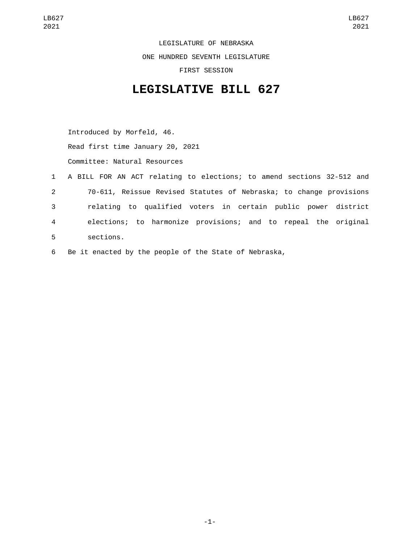LEGISLATURE OF NEBRASKA ONE HUNDRED SEVENTH LEGISLATURE FIRST SESSION

## **LEGISLATIVE BILL 627**

Introduced by Morfeld, 46. Read first time January 20, 2021 Committee: Natural Resources

- 1 A BILL FOR AN ACT relating to elections; to amend sections 32-512 and 2 70-611, Reissue Revised Statutes of Nebraska; to change provisions 3 relating to qualified voters in certain public power district 4 elections; to harmonize provisions; and to repeal the original sections.5
- 6 Be it enacted by the people of the State of Nebraska,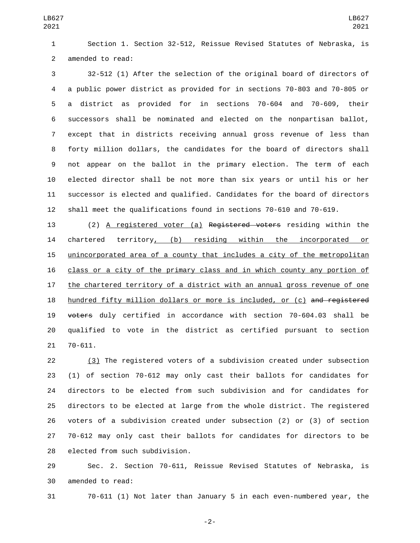Section 1. Section 32-512, Reissue Revised Statutes of Nebraska, is 2 amended to read:

 32-512 (1) After the selection of the original board of directors of a public power district as provided for in sections 70-803 and 70-805 or a district as provided for in sections 70-604 and 70-609, their successors shall be nominated and elected on the nonpartisan ballot, except that in districts receiving annual gross revenue of less than forty million dollars, the candidates for the board of directors shall not appear on the ballot in the primary election. The term of each elected director shall be not more than six years or until his or her successor is elected and qualified. Candidates for the board of directors shall meet the qualifications found in sections 70-610 and 70-619.

 (2) A registered voter (a) Registered voters residing within the 14 chartered territory, (b) residing within the incorporated or unincorporated area of a county that includes a city of the metropolitan class or a city of the primary class and in which county any portion of 17 the chartered territory of a district with an annual gross revenue of one 18 hundred fifty million dollars or more is included, or (c) and registered voters duly certified in accordance with section 70-604.03 shall be qualified to vote in the district as certified pursuant to section 21 70-611.

 (3) The registered voters of a subdivision created under subsection (1) of section 70-612 may only cast their ballots for candidates for directors to be elected from such subdivision and for candidates for directors to be elected at large from the whole district. The registered voters of a subdivision created under subsection (2) or (3) of section 70-612 may only cast their ballots for candidates for directors to be 28 elected from such subdivision.

 Sec. 2. Section 70-611, Reissue Revised Statutes of Nebraska, is 30 amended to read:

70-611 (1) Not later than January 5 in each even-numbered year, the

-2-